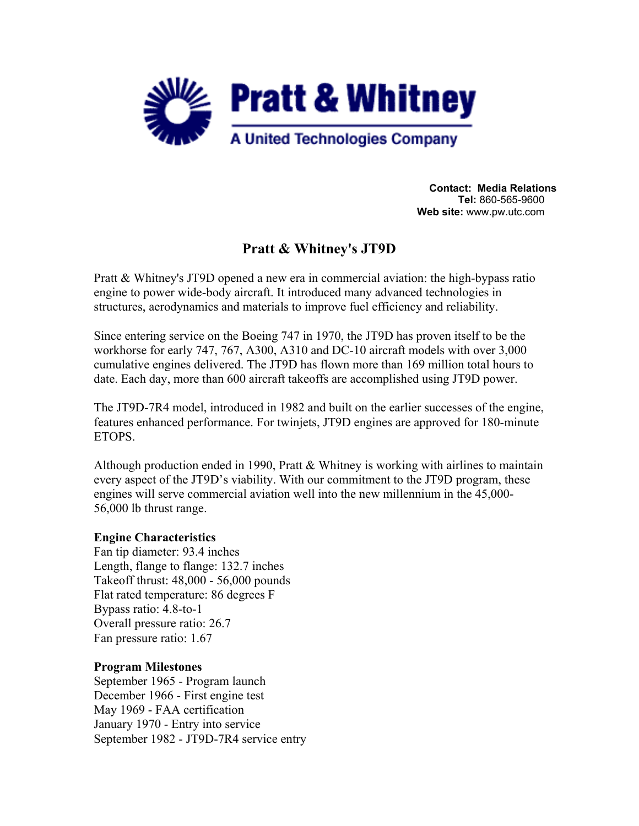

**Contact: Media Relations Tel:** 860-565-9600 **Web site:** www.pw.utc.com

# **Pratt & Whitney's JT9D**

Pratt & Whitney's JT9D opened a new era in commercial aviation: the high-bypass ratio engine to power wide-body aircraft. It introduced many advanced technologies in structures, aerodynamics and materials to improve fuel efficiency and reliability.

Since entering service on the Boeing 747 in 1970, the JT9D has proven itself to be the workhorse for early 747, 767, A300, A310 and DC-10 aircraft models with over 3,000 cumulative engines delivered. The JT9D has flown more than 169 million total hours to date. Each day, more than 600 aircraft takeoffs are accomplished using JT9D power.

The JT9D-7R4 model, introduced in 1982 and built on the earlier successes of the engine, features enhanced performance. For twinjets, JT9D engines are approved for 180-minute ETOPS.

Although production ended in 1990, Pratt & Whitney is working with airlines to maintain every aspect of the JT9D's viability. With our commitment to the JT9D program, these engines will serve commercial aviation well into the new millennium in the 45,000- 56,000 lb thrust range.

#### **Engine Characteristics**

Fan tip diameter: 93.4 inches Length, flange to flange: 132.7 inches Takeoff thrust: 48,000 - 56,000 pounds Flat rated temperature: 86 degrees F Bypass ratio: 4.8-to-1 Overall pressure ratio: 26.7 Fan pressure ratio: 1.67

#### **Program Milestones**

September 1965 - Program launch December 1966 - First engine test May 1969 - FAA certification January 1970 - Entry into service September 1982 - JT9D-7R4 service entry